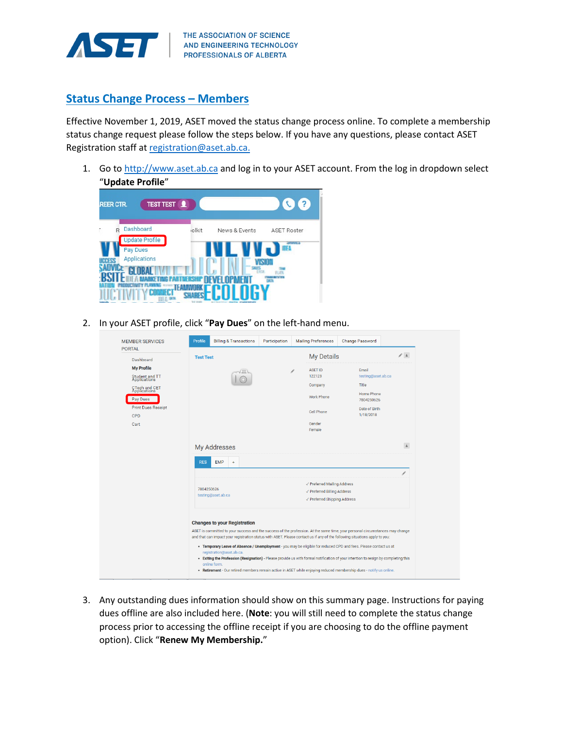

## **Status Change Process – Members**

Effective November 1, 2019, ASET moved the status change process online. To complete a membership status change request please follow the steps below. If you have any questions, please contact ASET Registration staff a[t registration@aset.ab.ca.](mailto:registration@aset.ab.ca)

1. Go to [http://www.aset.ab.ca](http://www.aset.ab.ca/) and log in to your ASET account. From the log in dropdown select "**Update Profile**"

| <b>TEST TEST</b> 1<br><b>REER CTR.</b>                              |               |                                  | $\overline{2}$                                      |
|---------------------------------------------------------------------|---------------|----------------------------------|-----------------------------------------------------|
| Dashboard<br>R<br><b>Update Profile</b><br>Pay Dues<br>Applications | <b>jolkit</b> | News & Events<br>в<br>238<br>312 | <b>ASET Roster</b><br><b>STIRTES</b><br>H<br>FC ATL |

2. In your ASET profile, click "**Pay Dues**" on the left-hand menu.

| <b>MEMBER SERVICES</b><br><b>PORTAL</b> | Profile          | <b>Billing &amp; Transactions</b>                                                                                                                                                                                                                           | Participation |  | <b>Mailing Preferences</b>                                  | <b>Change Password</b>   |                   |  |
|-----------------------------------------|------------------|-------------------------------------------------------------------------------------------------------------------------------------------------------------------------------------------------------------------------------------------------------------|---------------|--|-------------------------------------------------------------|--------------------------|-------------------|--|
| Dashboard                               | <b>Test Test</b> |                                                                                                                                                                                                                                                             |               |  | <b>My Details</b>                                           |                          | $\mathcal{S}$ . A |  |
| <b>My Profile</b>                       |                  |                                                                                                                                                                                                                                                             |               |  | <b>ASET ID</b>                                              | Email                    |                   |  |
| Student and TT<br>Applications          |                  |                                                                                                                                                                                                                                                             |               |  | 122123                                                      | testing@aset.ab.ca       |                   |  |
| CTech and CET<br>Applications           |                  |                                                                                                                                                                                                                                                             |               |  | Company                                                     | Title                    |                   |  |
| Pay Dues                                |                  |                                                                                                                                                                                                                                                             |               |  | Work Phone                                                  | Home Phone<br>7804250626 |                   |  |
| <b>Print Dues Receipt</b>               |                  |                                                                                                                                                                                                                                                             |               |  | Cell Phone                                                  | Date of Birth            |                   |  |
| CPD                                     |                  |                                                                                                                                                                                                                                                             |               |  |                                                             | 1/18/2018                |                   |  |
| Cart                                    |                  |                                                                                                                                                                                                                                                             |               |  | Gender<br>Female                                            |                          |                   |  |
|                                         |                  |                                                                                                                                                                                                                                                             |               |  |                                                             |                          |                   |  |
|                                         |                  | My Addresses                                                                                                                                                                                                                                                |               |  |                                                             |                          | $\blacktriangle$  |  |
|                                         | <b>RES</b>       | <b>EMP</b><br>$\ddot{}$                                                                                                                                                                                                                                     |               |  |                                                             |                          |                   |  |
|                                         |                  |                                                                                                                                                                                                                                                             |               |  |                                                             |                          | ì                 |  |
|                                         |                  |                                                                                                                                                                                                                                                             |               |  | √ Preferred Mailing Address                                 |                          |                   |  |
|                                         |                  | 7804250626<br>testing@aset.ab.ca                                                                                                                                                                                                                            |               |  | √ Preferred Billing Address<br>√ Preferred Shipping Address |                          |                   |  |
|                                         |                  |                                                                                                                                                                                                                                                             |               |  |                                                             |                          |                   |  |
|                                         |                  |                                                                                                                                                                                                                                                             |               |  |                                                             |                          |                   |  |
|                                         |                  | <b>Changes to your Registration</b>                                                                                                                                                                                                                         |               |  |                                                             |                          |                   |  |
|                                         |                  | ASET is committed to your success and the success of the profession. At the same time, your personal circumstances may change<br>and that can impact your registration status with ASET. Please contact us if any of the following situations apply to you: |               |  |                                                             |                          |                   |  |
|                                         |                  | . Temporary Leave of Absence / Unemployment - you may be eligible for reduced CPD and fees. Please contact us at                                                                                                                                            |               |  |                                                             |                          |                   |  |
|                                         |                  | registration@aset.ab.ca.<br>. Exiting the Profession (Resignation) - Please provide us with formal notification of your intention to resign by completing this                                                                                              |               |  |                                                             |                          |                   |  |
|                                         |                  | online form.                                                                                                                                                                                                                                                |               |  |                                                             |                          |                   |  |
|                                         |                  | . Retirement - Our retired members remain active in ASET while enjoying reduced membership dues - notify us online.                                                                                                                                         |               |  |                                                             |                          |                   |  |

3. Any outstanding dues information should show on this summary page. Instructions for paying dues offline are also included here. (**Note**: you will still need to complete the status change process prior to accessing the offline receipt if you are choosing to do the offline payment option). Click "**Renew My Membership.**"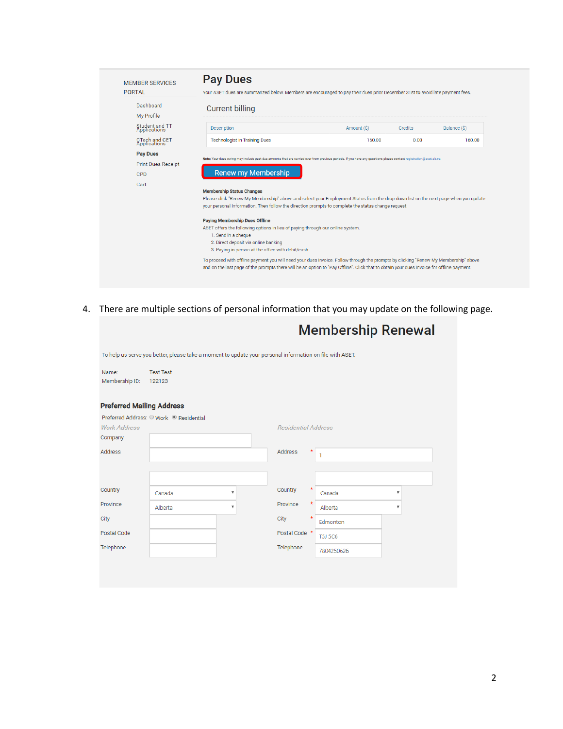| <b>MEMBER SERVICES</b><br><b>PORTAL</b> | <b>Pay Dues</b><br>Your ASET dues are summarized below. Members are encouraged to pay their dues prior December 31st to avoid late payment fees.                                                                                           |             |         |              |  |  |
|-----------------------------------------|--------------------------------------------------------------------------------------------------------------------------------------------------------------------------------------------------------------------------------------------|-------------|---------|--------------|--|--|
| Dashboard<br>My Profile                 | Current billing                                                                                                                                                                                                                            |             |         |              |  |  |
| Student and TT<br>Applications          | <b>Description</b>                                                                                                                                                                                                                         | Amount (\$) | Credits | Balance (\$) |  |  |
| CTech and CET<br>Applications           | <b>Technologist in Training Dues</b>                                                                                                                                                                                                       | 160.00      | 0.00    | 160.00       |  |  |
| <b>Pay Dues</b>                         |                                                                                                                                                                                                                                            |             |         |              |  |  |
| <b>Print Dues Receipt</b>               | Note: Your dues owing may include past due amounts that are carried over from previous periods. If you have any questions please contact registration@aset.ab.ca.                                                                          |             |         |              |  |  |
| <b>CPD</b>                              | <b>Renew my Membership</b>                                                                                                                                                                                                                 |             |         |              |  |  |
| Cart                                    |                                                                                                                                                                                                                                            |             |         |              |  |  |
|                                         | <b>Membership Status Changes</b>                                                                                                                                                                                                           |             |         |              |  |  |
|                                         | Please click "Renew My Membership" above and select your Employment Status from the drop down list on the next page when you update<br>your personal information. Then follow the direction prompts to complete the status change request. |             |         |              |  |  |
|                                         | <b>Paying Membership Dues Offline</b>                                                                                                                                                                                                      |             |         |              |  |  |
|                                         | ASET offers the following options in lieu of paying through our online system.<br>1. Send in a cheque                                                                                                                                      |             |         |              |  |  |
|                                         | 2. Direct deposit via online banking<br>3. Paying in person at the office with debit/cash                                                                                                                                                  |             |         |              |  |  |
|                                         | To proceed with offline payment you will need your dues invoice. Follow through the prompts by clicking "Renew My Membership" above                                                                                                        |             |         |              |  |  |

4. There are multiple sections of personal information that you may update on the following page.

|                                  |                                                                                                          |                            | <b>Membership Renewal</b> |                           |
|----------------------------------|----------------------------------------------------------------------------------------------------------|----------------------------|---------------------------|---------------------------|
|                                  | To help us serve you better, please take a moment to update your personal information on file with ASET. |                            |                           |                           |
| Name:<br>Membership ID:          | <b>Test Test</b><br>122123                                                                               |                            |                           |                           |
| <b>Preferred Mailing Address</b> |                                                                                                          |                            |                           |                           |
| <b>Work Address</b><br>Company   | Preferred Address: O Work <sup>®</sup> Residential                                                       | <b>Residential Address</b> |                           |                           |
| <b>Address</b>                   |                                                                                                          | Address<br>*               | 1                         |                           |
|                                  |                                                                                                          |                            |                           |                           |
| Country                          | $\boldsymbol{\mathrm{v}}$<br>Canada                                                                      | Country<br>$\ast$          | Canada                    | $\boldsymbol{\mathrm{v}}$ |
| Province                         | Alberta<br>$\boldsymbol{\mathrm{v}}$                                                                     | $\star$<br>Province        | Alberta                   | $\boldsymbol{\mathrm{v}}$ |
| City                             |                                                                                                          | $\star$<br>City            | Edmonton                  |                           |
| Postal Code                      |                                                                                                          | Postal Code *              | <b>T5J 5C6</b>            |                           |
| Telephone                        |                                                                                                          | Telephone                  | 7804250626                |                           |
|                                  |                                                                                                          |                            |                           |                           |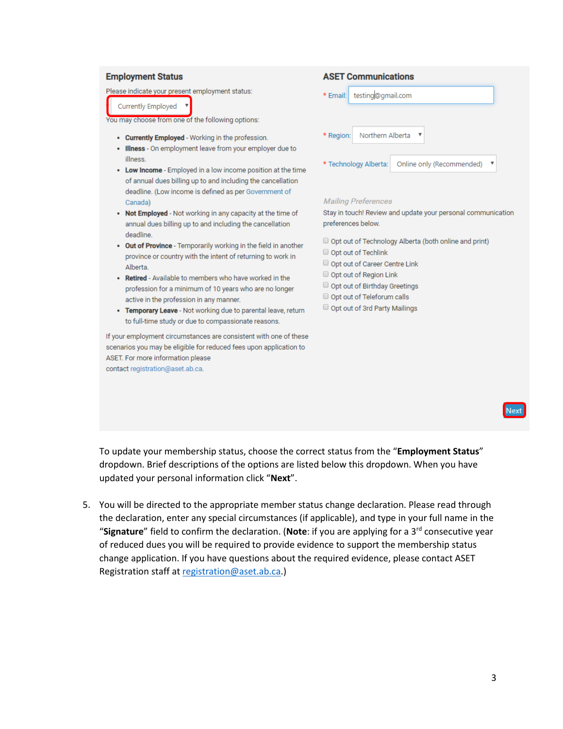### **Employment Status**

Please indicate your present employment status:

Currently Employed

You may choose from one of the following options:

- Currently Employed Working in the profession.
- . Illness On employment leave from your employer due to illness.
- Low Income Employed in a low income position at the time of annual dues billing up to and including the cancellation deadline. (Low income is defined as per Government of Canada)
- Not Employed Not working in any capacity at the time of annual dues billing up to and including the cancellation deadline.
- . Out of Province Temporarily working in the field in another province or country with the intent of returning to work in Alberta.
- Retired Available to members who have worked in the profession for a minimum of 10 years who are no longer active in the profession in any manner.
- Temporary Leave Not working due to parental leave, return to full-time study or due to compassionate reasons.

If your employment circumstances are consistent with one of these scenarios you may be eligible for reduced fees upon application to ASET. For more information please

contact registration@aset.ab.ca.

### **ASET Communications**  $*$  Email: testing@gmail.com

\* Region: Northern Alberta Online only (Recommended) \* Technology Alberta:

### **Mailing Preferences**

Stay in touch! Review and update your personal communication preferences below.

Opt out of Technology Alberta (both online and print)

- Opt out of Techlink
- Opt out of Career Centre Link
- Opt out of Region Link
- Opt out of Birthday Greetings
- Opt out of Teleforum calls
- Opt out of 3rd Party Mailings

To update your membership status, choose the correct status from the "Employment Status" dropdown. Brief descriptions of the options are listed below this dropdown. When you have updated your personal information click "Next".

5. You will be directed to the appropriate member status change declaration. Please read through the declaration, enter any special circumstances (if applicable), and type in your full name in the "Signature" field to confirm the declaration. (Note: if you are applying for a 3<sup>rd</sup> consecutive year of reduced dues you will be required to provide evidence to support the membership status change application. If you have questions about the required evidence, please contact ASET Registration staff at registration@aset.ab.ca.)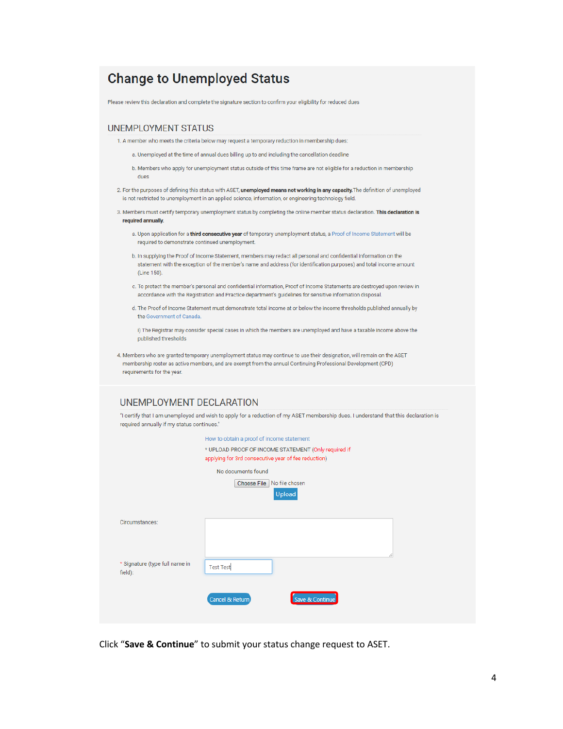# **Change to Unemployed Status**

Please review this declaration and complete the signature section to confirm your eligibility for reduced dues

### **UNEMPLOYMENT STATUS**

- 1. A member who meets the criteria below may request a temporary reduction in membership dues:
	- a. Unemployed at the time of annual dues billing up to and including the cancellation deadline
	- b. Members who apply for unemployment status outside of this time frame are not eligible for a reduction in membership dues
- 2. For the purposes of defining this status with ASET, unemployed means not working in any capacity. The definition of unemployed is not restricted to unemployment in an applied science, information, or engineering technology field.
- 3. Members must certify temporary unemployment status by completing the online member status declaration. This declaration is required annually.
	- a. Upon application for a third consecutive year of temporary unemployment status, a Proof of Income Statement will be required to demonstrate continued unemployment.
	- b. In supplying the Proof of Income Statement, members may redact all personal and confidential information on the statement with the exception of the member's name and address (for identification purposes) and total income amount (Line 150).
	- c. To protect the member's personal and confidential information, Proof of Income Statements are destroyed upon review in accordance with the Registration and Practice department's quidelines for sensitive information disposal.
	- d. The Proof of Income Statement must demonstrate total income at or below the income thresholds published annually by the Government of Canada.

i) The Registrar may consider special cases in which the members are unemployed and have a taxable income above the published thresholds

4. Members who are granted temporary unemployment status may continue to use their designation, will remain on the ASET membership roster as active members, and are exempt from the annual Continuing Professional Development (CPD) requirements for the year.

### UNEMPLOYMENT DECLARATION

"I certify that I am unemployed and wish to apply for a reduction of my ASET membership dues. I understand that this declaration is required annually if my status continues."

| How to obtain a proof of income statement<br>* UPLOAD PROOF OF INCOME STATEMENT (Only required if<br>applying for 3rd consecutive year of fee reduction) |                                                              |  |  |
|----------------------------------------------------------------------------------------------------------------------------------------------------------|--------------------------------------------------------------|--|--|
|                                                                                                                                                          | No documents found<br>Choose File   No file chosen<br>Upload |  |  |
| Circumstances:                                                                                                                                           |                                                              |  |  |
| * Signature (type full name in<br>field):                                                                                                                | <b>Test Test</b>                                             |  |  |
|                                                                                                                                                          | Save & Continue<br>Cancel & Return                           |  |  |

Click "Save & Continue" to submit your status change request to ASET.